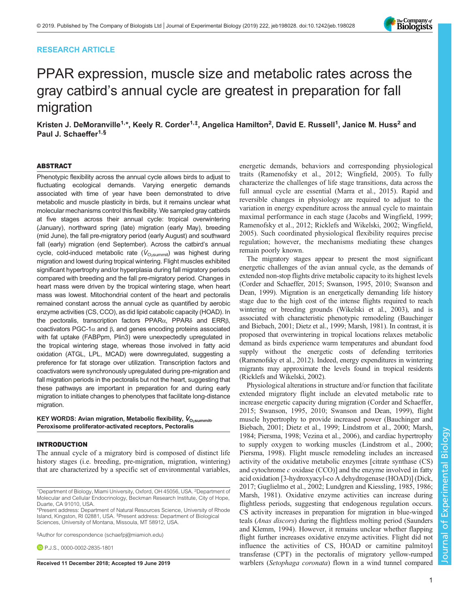# RESEARCH ARTICLE



# PPAR expression, muscle size and metabolic rates across the gray catbird's annual cycle are greatest in preparation for fall migration

Kristen J. DeMoranville<sup>1,</sup>\*, Keely R. Corder<sup>1,‡</sup>, Angelica Hamilton<sup>2</sup>, David E. Russell<sup>1</sup>, Janice M. Huss<sup>2</sup> and Paul J. Schaeffer<sup>1,§</sup>

# ABSTRACT

Phenotypic flexibility across the annual cycle allows birds to adjust to fluctuating ecological demands. Varying energetic demands associated with time of year have been demonstrated to drive metabolic and muscle plasticity in birds, but it remains unclear what molecular mechanisms control this flexibility. We sampled gray catbirds at five stages across their annual cycle: tropical overwintering (January), northward spring (late) migration (early May), breeding (mid June), the fall pre-migratory period (early August) and southward fall (early) migration (end September). Across the catbird's annual cycle, cold-induced metabolic rate  $(\dot{\mathcal{V}}_{\text{O}_2 \text{summit}})$  was highest during migration and lowest during tropical wintering. Flight muscles exhibited significant hypertrophy and/or hyperplasia during fall migratory periods compared with breeding and the fall pre-migratory period. Changes in heart mass were driven by the tropical wintering stage, when heart mass was lowest. Mitochondrial content of the heart and pectoralis remained constant across the annual cycle as quantified by aerobic enzyme activities (CS, CCO), as did lipid catabolic capacity (HOAD). In the pectoralis, transcription factors PPARα, PPARδ and ERRβ, coactivators PGC-1α and β, and genes encoding proteins associated with fat uptake (FABPpm, Plin3) were unexpectedly upregulated in the tropical wintering stage, whereas those involved in fatty acid oxidation (ATGL, LPL, MCAD) were downregulated, suggesting a preference for fat storage over utilization. Transcription factors and coactivators were synchronously upregulated during pre-migration and fall migration periods in the pectoralis but not the heart, suggesting that these pathways are important in preparation for and during early migration to initiate changes to phenotypes that facilitate long-distance migration.

KEY WORDS: Avian migration, Metabolic flexibility,  $\dot{V}_{O_2\text{summit}}$ Peroxisome proliferator-activated receptors, Pectoralis

# INTRODUCTION

The annual cycle of a migratory bird is composed of distinct life history stages (i.e. breeding, pre-migration, migration, wintering) that are characterized by a specific set of environmental variables,

§ Author for correspondence ([schaefpj@miamioh.edu\)](mailto:schaefpj@miamioh.edu)

**P.J.S., [0000-0002-2835-1801](http://orcid.org/0000-0002-2835-1801)** 

energetic demands, behaviors and corresponding physiological traits ([Ramenofsky et al., 2012](#page-10-0); [Wingfield, 2005\)](#page-10-0). To fully characterize the challenges of life stage transitions, data across the full annual cycle are essential [\(Marra et al., 2015](#page-9-0)). Rapid and reversible changes in physiology are required to adjust to the variation in energy expenditure across the annual cycle to maintain maximal performance in each stage [\(Jacobs and Wingfield, 1999](#page-9-0); [Ramenofsky et al., 2012; Ricklefs and Wikelski, 2002](#page-10-0); [Wingfield,](#page-10-0) [2005\)](#page-10-0). Such coordinated physiological flexibility requires precise regulation; however, the mechanisms mediating these changes remain poorly known.

The migratory stages appear to present the most significant energetic challenges of the avian annual cycle, as the demands of extended non-stop flights drive metabolic capacity to its highest levels [\(Corder and Schaeffer, 2015;](#page-9-0) [Swanson, 1995](#page-10-0), [2010; Swanson and](#page-10-0) [Dean, 1999](#page-10-0)). Migration is an energetically demanding life history stage due to the high cost of the intense flights required to reach wintering or breeding grounds ([Wikelski et al., 2003\)](#page-10-0), and is associated with characteristic phenotypic remodeling ([Bauchinger](#page-9-0) [and Biebach, 2001; Dietz et al., 1999](#page-9-0); [Marsh, 1981](#page-10-0)). In contrast, it is proposed that overwintering in tropical locations relaxes metabolic demand as birds experience warm temperatures and abundant food supply without the energetic costs of defending territories [\(Ramenofsky et al., 2012](#page-10-0)). Indeed, energy expenditures in wintering migrants may approximate the levels found in tropical residents [\(Ricklefs and Wikelski, 2002](#page-10-0)).

Physiological alterations in structure and/or function that facilitate extended migratory flight include an elevated metabolic rate to increase energetic capacity during migration [\(Corder and Schaeffer,](#page-9-0) [2015;](#page-9-0) [Swanson, 1995, 2010; Swanson and Dean, 1999\)](#page-10-0), flight muscle hypertrophy to provide increased power ([Bauchinger and](#page-9-0) [Biebach, 2001](#page-9-0); [Dietz et al., 1999](#page-9-0); [Lindstrom et al., 2000;](#page-9-0) [Marsh,](#page-10-0) [1984; Piersma, 1998; Vezina et al., 2006](#page-10-0)), and cardiac hypertrophy to supply oxygen to working muscles ([Lindstrom et al., 2000](#page-9-0); [Piersma, 1998](#page-10-0)). Flight muscle remodeling includes an increased activity of the oxidative metabolic enzymes [citrate synthase (CS) and cytochrome c oxidase (CCO)] and the enzyme involved in fatty acid oxidation [3-hydroxyacyl-co A dehydrogenase (HOAD)] [\(Dick,](#page-9-0) [2017; Guglielmo et al., 2002; Lundgren and Kiessling, 1985, 1986](#page-9-0); [Marsh, 1981](#page-10-0)). Oxidative enzyme activities can increase during flightless periods, suggesting that endogenous regulation occurs. CS activity increases in preparation for migration in blue-winged teals (Anas discors) during the flightless molting period ([Saunders](#page-10-0) [and Klemm, 1994](#page-10-0)). However, it remains unclear whether flapping flight further increases oxidative enzyme activities. Flight did not influence the activities of CS, HOAD or carnitine palmitoyl transferase (CPT) in the pectoralis of migratory yellow-rumped Received 11 December 2018; Accepted 19 June 2019 warblers (Setophaga coronata) flown in a wind tunnel compared

<sup>&</sup>lt;sup>1</sup>Department of Biology, Miami University, Oxford, OH 45056, USA. <sup>2</sup>Department of Molecular and Cellular Endocrinology, Beckman Research Institute, City of Hope, Duarte, CA 91010, USA.

<sup>\*</sup>Present address: Department of Natural Resources Science, University of Rhode Island, Kingston, RI 02881, USA. ‡ Present address: Department of Biological Sciences, University of Montana, Missoula, MT 58912, USA.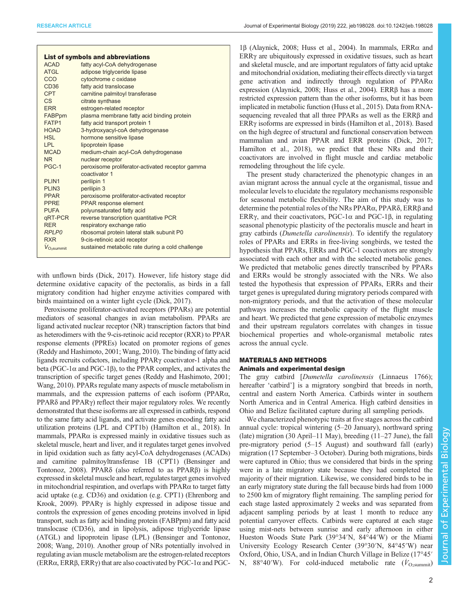|                        | <b>List of symbols and abbreviations</b>         |
|------------------------|--------------------------------------------------|
| <b>ACAD</b>            | fatty acyl-CoA dehydrogenase                     |
| <b>ATGL</b>            | adipose triglyceride lipase                      |
| CCO                    | cytochrome c oxidase                             |
| CD36                   | fatty acid translocase                           |
| <b>CPT</b>             | carnitine palmitoyl transferase                  |
| CS.                    | citrate synthase                                 |
| <b>ERR</b>             | estrogen-related receptor                        |
| FABPpm                 | plasma membrane fatty acid binding protein       |
| FATP1                  | fatty acid transport protein 1                   |
| <b>HOAD</b>            | 3-hydroxyacyl-coA dehydrogenase                  |
| <b>HSL</b>             | hormone sensitive lipase                         |
| LPL                    | lipoprotein lipase                               |
| <b>MCAD</b>            | medium-chain acyl-CoA dehydrogenase              |
| N <sub>R</sub>         | nuclear receptor                                 |
| PGC-1                  | peroxisome proliferator-activated receptor gamma |
|                        | coactivator 1                                    |
| PLIN1                  | perilipin 1                                      |
| PLIN <sub>3</sub>      | perilipin 3                                      |
| <b>PPAR</b>            | peroxisome proliferator-activated receptor       |
| <b>PPRE</b>            | <b>PPAR</b> response element                     |
| <b>PUFA</b>            | polyunsaturated fatty acid                       |
| aRT-PCR                | reverse transcription quantitative PCR           |
| <b>RFR</b>             | respiratory exchange ratio                       |
| RPLP <sub>0</sub>      | ribosomal protein lateral stalk subunit P0       |
| <b>RXR</b>             | 9-cis-retinoic acid receptor                     |
| $\dot{V}_{O_2}$ summit | sustained metabolic rate during a cold challenge |

with unflown birds [\(Dick, 2017](#page-9-0)). However, life history stage did determine oxidative capacity of the pectoralis, as birds in a fall migratory condition had higher enzyme activities compared with birds maintained on a winter light cycle [\(Dick, 2017](#page-9-0)).

Peroxisome proliferator-activated receptors (PPARs) are potential mediators of seasonal changes in avian metabolism. PPARs are ligand activated nuclear receptor (NR) transcription factors that bind as heterodimers with the 9-cis-retinoic acid receptor (RXR) to PPAR response elements (PPREs) located on promoter regions of genes [\(Reddy and Hashimoto, 2001](#page-10-0); [Wang, 2010\)](#page-10-0). The binding of fatty acid ligands recruits cofactors, including PPARγ coactivator-1 alpha and beta (PGC-1 $\alpha$  and PGC-1 $\beta$ ), to the PPAR complex, and activates the transcription of specific target genes ([Reddy and Hashimoto, 2001](#page-10-0); [Wang, 2010\)](#page-10-0). PPARs regulate many aspects of muscle metabolism in mammals, and the expression patterns of each isoform (PPARα, PPARδ and PPARγ) reflect their major regulatory roles. We recently demonstrated that these isoforms are all expressed in catbirds, respond to the same fatty acid ligands, and activate genes encoding fatty acid utilization proteins (LPL and CPT1b) ([Hamilton et al., 2018\)](#page-9-0). In mammals, PPAR $\alpha$  is expressed mainly in oxidative tissues such as skeletal muscle, heart and liver, and it regulates target genes involved in lipid oxidation such as fatty acyl-CoA dehydrogenases (ACADs) and carnitine palmitoyltransferase 1B (CPT1) ([Bensinger and](#page-9-0) [Tontonoz, 2008\)](#page-9-0). PPARδ (also referred to as PPARβ) is highly expressed in skeletal muscle and heart, regulates target genes involved in mitochondrial respiration, and overlaps with PPARα to target fatty acid uptake (e.g. CD36) and oxidation (e.g. CPT1) ([Ehrenborg and](#page-9-0) [Krook, 2009\)](#page-9-0). PPARγ is highly expressed in adipose tissue and controls the expression of genes encoding proteins involved in lipid transport, such as fatty acid binding protein (FABPpm) and fatty acid translocase (CD36), and in lipolysis, adipose triglyceride lipase (ATGL) and lipoprotein lipase (LPL) [\(Bensinger and Tontonoz,](#page-9-0) [2008;](#page-9-0) [Wang, 2010](#page-10-0)). Another group of NRs potentially involved in regulating avian muscle metabolism are the estrogen-related receptors (ERR $\alpha$ , ERR $\beta$ , ERR $\gamma$ ) that are also coactivated by PGC-1 $\alpha$  and PGC-

1β [\(Alaynick, 2008; Huss et al., 2004](#page-9-0)). In mammals, ERRα and ERRγ are ubiquitously expressed in oxidative tissues, such as heart and skeletal muscle, and are important regulators of fatty acid uptake and mitochondrial oxidation, mediating their effects directly via target gene activation and indirectly through regulation of PPARα expression [\(Alaynick, 2008](#page-9-0); [Huss et al., 2004\)](#page-9-0). ERRβ has a more restricted expression pattern than the other isoforms, but it has been implicated in metabolic function [\(Huss et al., 2015\)](#page-9-0). Data from RNAsequencing revealed that all three PPARs as well as the ERRβ and ERRγ isoforms are expressed in birds ([Hamilton et al., 2018\)](#page-9-0). Based on the high degree of structural and functional conservation between mammalian and avian PPAR and ERR proteins ([Dick, 2017](#page-9-0); [Hamilton et al., 2018](#page-9-0)), we predict that these NRs and their coactivators are involved in flight muscle and cardiac metabolic remodeling throughout the life cycle.

The present study characterized the phenotypic changes in an avian migrant across the annual cycle at the organismal, tissue and molecular levels to elucidate the regulatory mechanisms responsible for seasonal metabolic flexibility. The aim of this study was to determine the potential roles of the NRs PPARα, PPARδ, ERRβ and ERRγ, and their coactivators, PGC-1 $\alpha$  and PGC-1 $\beta$ , in regulating seasonal phenotypic plasticity of the pectoralis muscle and heart in gray catbirds (Dumetella carolinensis). To identify the regulatory roles of PPARs and ERRs in free-living songbirds, we tested the hypothesis that PPARs, ERRs and PGC-1 coactivators are strongly associated with each other and with the selected metabolic genes. We predicted that metabolic genes directly transcribed by PPARs and ERRs would be strongly associated with the NRs. We also tested the hypothesis that expression of PPARs, ERRs and their target genes is upregulated during migratory periods compared with non-migratory periods, and that the activation of these molecular pathways increases the metabolic capacity of the flight muscle and heart. We predicted that gene expression of metabolic enzymes and their upstream regulators correlates with changes in tissue biochemical properties and whole-organismal metabolic rates across the annual cycle.

# MATERIALS AND METHODS Animals and experimental design

The gray catbird [Dumetella carolinensis (Linnaeus 1766); hereafter 'catbird'] is a migratory songbird that breeds in north, central and eastern North America. Catbirds winter in southern North America and in Central America. High catbird densities in Ohio and Belize facilitated capture during all sampling periods.

We characterized phenotypic traits at five stages across the catbird annual cycle: tropical wintering (5–20 January), northward spring (late) migration (30 April–11 May), breeding (11–27 June), the fall pre-migratory period (5–15 August) and southward fall (early) migration (17 September–3 October). During both migrations, birds were captured in Ohio; thus we considered that birds in the spring were in a late migratory state because they had completed the majority of their migration. Likewise, we considered birds to be in an early migratory state during the fall because birds had from 1000 to 2500 km of migratory flight remaining. The sampling period for each stage lasted approximately 2 weeks and was separated from adjacent sampling periods by at least 1 month to reduce any potential carryover effects. Catbirds were captured at each stage using mist-nets between sunrise and early afternoon in either Hueston Woods State Park (39°34′N, 84°44′W) or the Miami University Ecology Research Center (39°30′N, 84°45′W) near Oxford, Ohio, USA, and in Indian Church Village in Belize (17°45′ N, 88°40′W). For cold-induced metabolic rate  $(\dot{V}_{\text{O}_2\text{summit}})$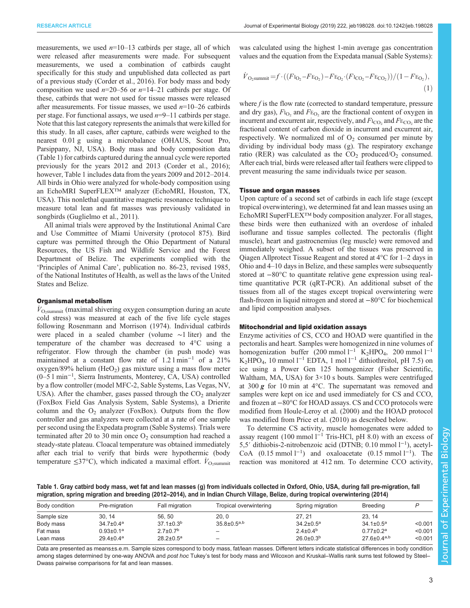<span id="page-2-0"></span>measurements, we used  $n=10-13$  catbirds per stage, all of which were released after measurements were made. For subsequent measurements, we used a combination of catbirds caught specifically for this study and unpublished data collected as part of a previous study [\(Corder et al., 2016\)](#page-9-0). For body mass and body composition we used  $n=20-56$  or  $n=14-21$  catbirds per stage. Of these, catbirds that were not used for tissue masses were released after measurements. For tissue masses, we used  $n=10-26$  catbirds per stage. For functional assays, we used  $n=9-11$  catbirds per stage. Note that this last category represents the animals that were killed for this study. In all cases, after capture, catbirds were weighed to the nearest 0.01 g using a microbalance (OHAUS, Scout Pro, Parsippany, NJ, USA). Body mass and body composition data (Table 1) for catbirds captured during the annual cycle were reported previously for the years 2012 and 2013 [\(Corder et al., 2016](#page-9-0)); however, Table 1 includes data from the years 2009 and 2012–2014. All birds in Ohio were analyzed for whole-body composition using an EchoMRI SuperFLEX™ analyzer (EchoMRI, Houston, TX, USA). This nonlethal quantitative magnetic resonance technique to measure total lean and fat masses was previously validated in songbirds [\(Guglielmo et al., 2011](#page-9-0)).

All animal trials were approved by the Institutional Animal Care and Use Committee of Miami University ( protocol 875). Bird capture was permitted through the Ohio Department of Natural Resources, the US Fish and Wildlife Service and the Forest Department of Belize. The experiments complied with the 'Principles of Animal Care', publication no. 86-23, revised 1985, of the National Institutes of Health, as well as the laws of the United States and Belize.

## Organismal metabolism

 $V_{\text{O}_2$ summit (maximal shivering oxygen consumption during an acute cold stress) was measured at each of the five life cycle stages following [Rosenmann and Morrison \(1974\).](#page-10-0) Individual catbirds were placed in a sealed chamber (volume ∼1 liter) and the temperature of the chamber was decreased to 4°C using a refrigerator. Flow through the chamber (in push mode) was maintained at a constant flow rate of 1.2 l min−<sup>1</sup> of a 21%  $oxygen/89\%$  helium (HeO<sub>2</sub>) gas mixture using a mass flow meter (0–5 l min−<sup>1</sup> , Sierra Instruments, Monterey, CA, USA) controlled by a flow controller (model MFC-2, Sable Systems, Las Vegas, NV, USA). After the chamber, gases passed through the  $CO<sub>2</sub>$  analyzer (FoxBox Field Gas Analysis System, Sable Systems), a Drierite column and the  $O_2$  analyzer (FoxBox). Outputs from the flow controller and gas analyzers were collected at a rate of one sample per second using the Expedata program (Sable Systems). Trials were terminated after 20 to 30 min once  $O_2$  consumption had reached a steady-state plateau. Cloacal temperature was obtained immediately after each trial to verify that birds were hypothermic (body temperature  $\leq$ 37°C), which indicated a maximal effort.  $\dot{V}_{\text{O}_2\text{summit}}$ 

was calculated using the highest 1-min average gas concentration values and the equation from the Expedata manual (Sable Systems):

$$
\dot{V}_{\text{O}_2\text{summit}} = f \cdot ((F_{\text{IO}_2} - F_{\text{EO}_2}) - F_{\text{EO}_2} \cdot (F_{\text{ICO}_2} - F_{\text{ECO}_2})) / (1 - F_{\text{EO}_2}),
$$
\n(1)

where  $f$  is the flow rate (corrected to standard temperature, pressure and dry gas),  $F_{\text{I}_{\text{O}_2}}$  and  $F_{\text{E}_{\text{O}_2}}$  are the fractional content of oxygen in incurrent and excurrent air, respectively, and  $F_{\text{ICO}}$  and  $F_{\text{ECO}}$  are the fractional content of carbon dioxide in incurrent and excurrent air, respectively. We normalized ml of  $O<sub>2</sub>$  consumed per minute by dividing by individual body mass (g). The respiratory exchange ratio (RER) was calculated as the  $CO<sub>2</sub>$  produced/ $O<sub>2</sub>$  consumed. After each trial, birds were released after tail feathers were clipped to prevent measuring the same individuals twice per season.

# Tissue and organ masses

Upon capture of a second set of catbirds in each life stage (except tropical overwintering), we determined fat and lean masses using an EchoMRI SuperFLEX™ body composition analyzer. For all stages, these birds were then euthanized with an overdose of inhaled isoflurane and tissue samples collected. The pectoralis (flight muscle), heart and gastrocnemius (leg muscle) were removed and immediately weighed. A subset of the tissues was preserved in Qiagen Allprotect Tissue Reagent and stored at 4°C for 1–2 days in Ohio and 4–10 days in Belize, and these samples were subsequently stored at −80°C to quantitate relative gene expression using realtime quantitative PCR (qRT-PCR). An additional subset of the tissues from all of the stages except tropical overwintering were flash-frozen in liquid nitrogen and stored at −80°C for biochemical and lipid composition analyses.

# Mitochondrial and lipid oxidation assays

Enzyme activities of CS, CCO and HOAD were quantified in the pectoralis and heart. Samples were homogenized in nine volumes of homogenization buffer (200 mmol l<sup>−1</sup> K<sub>2</sub>HPO<sub>4</sub>, 200 mmol l<sup>−1</sup> K<sub>2</sub>HPO<sub>4</sub>, 10 mmol l<sup>-1</sup> EDTA, 1 mol l<sup>-1</sup> dithiothreitol, pH 7.5) on ice using a Power Gen 125 homogenizer (Fisher Scientific, Waltham, MA, USA) for 3×10 s bouts. Samples were centrifuged at 300  $g$  for 10 min at 4°C. The supernatant was removed and samples were kept on ice and used immediately for CS and CCO, and frozen at −80°C for HOAD assays. CS and CCO protocols were modified from [Houle-Leroy et al. \(2000\)](#page-9-0) and the HOAD protocol was modified from [Price et al. \(2010\)](#page-10-0) as described below.

To determine CS activity, muscle homogenates were added to assay reagent (100 mmol  $l^{-1}$  Tris-HCl, pH 8.0) with an excess of 5,5′ dithiobis-2-nitrobenzoic acid (DTNB; 0.10 mmol l−<sup>1</sup> ), acetyl-CoA  $(0.15 \text{ mmol } 1^{-1})$  and oxaloacetate  $(0.15 \text{ mmol } 1^{-1})$ . The reaction was monitored at 412 nm. To determine CCO activity,

Table 1. Gray catbird body mass, wet fat and lean masses (g) from individuals collected in Oxford, Ohio, USA, during fall pre-migration, fall migration, spring migration and breeding (2012–2014), and in Indian Church Village, Belize, during tropical overwintering (2014)

| Body condition | Pre-migration               | Fall migration             | Tropical overwintering | Spring migration       | <b>Breeding</b>      |         |
|----------------|-----------------------------|----------------------------|------------------------|------------------------|----------------------|---------|
| Sample size    | 30.14                       | 56.50                      | 20, 0                  | 27.21                  | 23.14                |         |
| Body mass      | $34.7 \pm 0.4^a$            | $37.1 \pm 0.3^b$           | $35.8 \pm 0.5^{a,b}$   | $34.2 \pm 0.5^a$       | $34.1 \pm 0.5^a$     | < 0.001 |
| Fat mass       | $0.93 \pm 0.1$ <sup>a</sup> | $2.7 \pm 0.7$ <sup>b</sup> |                        | $2.4\pm0.4^{b}$        | $0.77 \pm 0.2^a$     | < 0.001 |
| Lean mass      | $29.4 \pm 0.4$ <sup>a</sup> | $28.2 \pm 0.5^a$           | -                      | $26.0 \pm 0.3^{\rm b}$ | $27.6 \pm 0.4^{a,b}$ | < 0.001 |

Data are presented as means±s.e.m. Sample sizes correspond to body mass, fat/lean masses. Different letters indicate statistical differences in body condition among stages determined by one-way ANOVA and post hoc Tukey's test for body mass and Wilcoxon and Kruskal–Wallis rank sums test followed by Steel-Dwass pairwise comparisons for fat and lean masses.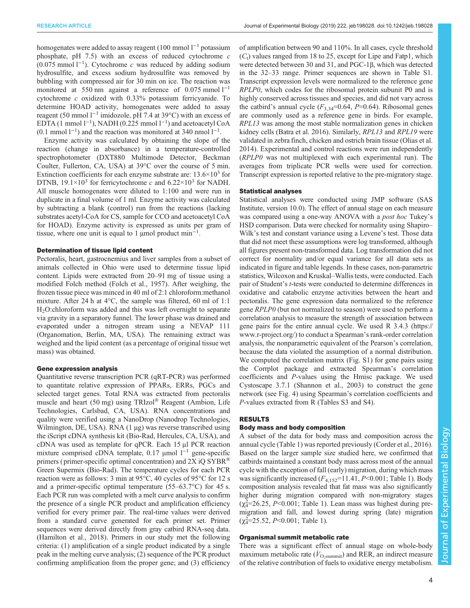homogenates were added to assay reagent (100 mmol  $l^{-1}$  potassium phosphate, pH 7.5) with an excess of reduced cytochrome c  $(0.075 \text{ mmol } 1^{-1})$ . Cytochrome c was reduced by adding sodium hydrosulfite, and excess sodium hydrosulfite was removed by bubbling with compressed air for 30 min on ice. The reaction was monitored at 550 nm against a reference of  $0.075$  mmol  $1^{-1}$ cytochrome c oxidized with 0.33% potassium ferricyanide. To determine HOAD activity, homogenates were added to assay reagent (50 mmol  $1^{-1}$  imidozole, pH 7.4 at 39 $\degree$ C) with an excess of EDTA (1 mmol  $1^{-1}$ ), NADH (0.225 mmol  $1^{-1}$ ) and acetoacetyl CoA (0.1 mmol l<sup>-1</sup>) and the reaction was monitored at 340 nmol l<sup>-1</sup>.

Enzyme activity was calculated by obtaining the slope of the reaction (change in absorbance) in a temperature-controlled spectrophotometer (DXT880 Multimode Detector, Beckman Coulter, Fullerton, CA, USA) at 39°C over the course of 5 min. Extinction coefficients for each enzyme substrate are:  $13.6 \times 10^3$  for DTNB,  $19.1 \times 10^3$  for ferricytochrome c and  $6.22 \times 10^3$  for NADH. All muscle homogenates were diluted to 1:100 and were run in duplicate in a final volume of 1 ml. Enzyme activity was calculated by subtracting a blank (control) run from the reactions (lacking substrates acetyl-CoA for CS, sample for CCO and acetoacetyl CoA for HOAD). Enzyme activity is expressed as units per gram of tissue, where one unit is equal to 1 µmol product min<sup>-1</sup>.

# Determination of tissue lipid content

Pectoralis, heart, gastrocnemius and liver samples from a subset of animals collected in Ohio were used to determine tissue lipid content. Lipids were extracted from 20–91 mg of tissue using a modified Folch method ([Folch et al., 1957](#page-9-0)). After weighing, the frozen tissue piece was minced in 40 ml of 2:1 chloroform:methanol mixture. After 24 h at 4°C, the sample was filtered, 60 ml of 1:1 H2O:chloroform was added and this was left overnight to separate via gravity in a separatory funnel. The lower phase was drained and evaporated under a nitrogen stream using a NEVAP 111 (Organomation, Berlin, MA, USA). The remaining extract was weighed and the lipid content (as a percentage of original tissue wet mass) was obtained.

## Gene expression analysis

Quantitative reverse transcription PCR (qRT-PCR) was performed to quantitate relative expression of PPARs, ERRs, PGCs and selected target genes. Total RNA was extracted from pectoralis muscle and heart (50 mg) using TRIzol® Reagent (Ambion, Life Technologies, Carlsbad, CA, USA). RNA concentrations and quality were verified using a NanoDrop (Nanodrop Technologies, Wilmington, DE, USA). RNA (1 µg) was reverse transcribed using the iScript cDNA synthesis kit (Bio-Rad, Hercules, CA, USA), and cDNA was used as template for qPCR. Each 15 μl PCR reaction mixture comprised cDNA template, 0.17 μmol l−<sup>1</sup> gene-specific primers ( primer-specific optimal concentration) and  $2X$  iQ SYBR<sup>®</sup> Green Supermix (Bio-Rad). The temperature cycles for each PCR reaction were as follows: 3 min at 95°C, 40 cycles of 95°C for 12 s and a primer-specific optimal temperature (55–63.7°C) for 45 s. Each PCR run was completed with a melt curve analysis to confirm the presence of a single PCR product and amplification efficiency verified for every primer pair. The real-time values were derived from a standard curve generated for each primer set. Primer sequences were derived directly from gray catbird RNA-seq data. [\(Hamilton et al., 2018\)](#page-9-0). Primers in our study met the following criteria: (1) amplification of a single product indicated by a single peak in the melting curve analysis; (2) sequence of the PCR product confirming amplification from the proper gene; and (3) efficiency

of amplification between 90 and 110%. In all cases, cycle threshold  $(C<sub>t</sub>)$  values ranged from 18 to 25, except for Lipe and Fatp1, which were detected between 30 and 31, and PGC-1β, which was detected in the 32–33 range. Primer sequences are shown in [Table S1.](http://jeb.biologists.org/lookup/doi/10.1242/jeb.198028.supplemental) Transcript expression levels were normalized to the reference gene RPLP0, which codes for the ribosomal protein subunit P0 and is highly conserved across tissues and species, and did not vary across the catbird's annual cycle  $(F_{3,34}=0.64, P=0.64)$ . Ribosomal genes are commonly used as a reference gene in birds. For example, RPL13 was among the most stable normalization genes in chicken kidney cells ([Batra et al. 2016\)](#page-9-0). Similarly, RPL13 and RPL19 were validated in zebra finch, chicken and ostrich brain tissue [\(Olias et al.](#page-10-0) [2014\)](#page-10-0). Experimental and control reactions were run independently (RPLP0 was not multiplexed with each experimental run). The averages from triplicate PCR wells were used for correction. Transcript expression is reported relative to the pre-migratory stage.

# Statistical analyses

Statistical analyses were conducted using JMP software (SAS Institute, version 10.0). The effect of annual stage on each measure was compared using a one-way ANOVA with a *post hoc* Tukey's HSD comparison. Data were checked for normality using Shapiro– Wilk's test and constant variance using a Levene's test. Those data that did not meet these assumptions were log transformed, although all figures present non-transformed data. Log transformation did not correct for normality and/or equal variance for all data sets as indicated in figure and table legends. In these cases, non-parametric statistics, Wilcoxon and Kruskal–Wallis tests, were conducted. Each pair of Student's t-tests were conducted to determine differences in oxidative and catabolic enzyme activities between the heart and pectoralis. The gene expression data normalized to the reference gene RPLP0 (but not normalized to season) were used to perform a correlation analysis to measure the strength of association between gene pairs for the entire annual cycle. We used R 3.4.3 ([https://](https://www.r-project.org/) [www.r-project.org/](https://www.r-project.org/)) to conduct a Spearman's rank-order correlation analysis, the nonparametric equivalent of the Pearson's correlation, because the data violated the assumption of a normal distribution. We computed the correlation matrix ([Fig. S1](http://jeb.biologists.org/lookup/doi/10.1242/jeb.198028.supplemental)) for gene pairs using the Corrplot package and extracted Spearman's correlation coefficients and P-values using the Hmisc package. We used Cystoscape 3.7.1 [\(Shannon et al., 2003\)](#page-10-0) to construct the gene network (see [Fig. 4](#page-6-0)) using Spearman's correlation coefficients and P-values extracted from R ([Tables S3 and S4](http://jeb.biologists.org/lookup/doi/10.1242/jeb.198028.supplemental)).

# RESULTS

## Body mass and body composition

A subset of the data for body mass and composition across the annual cycle ([Table 1](#page-2-0)) was reported previously [\(Corder et al., 2016\)](#page-9-0). Based on the larger sample size studied here, we confirmed that catbirds maintained a constant body mass across most of the annual cycle with the exception of fall (early) migration, during which mass was significantly increased  $(F_{4,152}=11.41, P<0.001;$  [Table 1\)](#page-2-0). Body composition analysis revealed that fat mass was also significantly higher during migration compared with non-migratory stages  $(\chi_4^2 = 26.25, P < 0.001$ ; [Table 1](#page-2-0)). Lean mass was highest during premigration and fall, and lowest during spring (late) migration  $(\chi_{4}^{2}=25.52, P<0.001;$  [Table 1\)](#page-2-0).

# Organismal summit metabolic rate

There was a significant effect of annual stage on whole-body maximum metabolic rate ( $\dot{V}_{\text{O}_2\text{summit}}$ ) and RER, an indirect measure of the relative contribution of fuels to oxidative energy metabolism.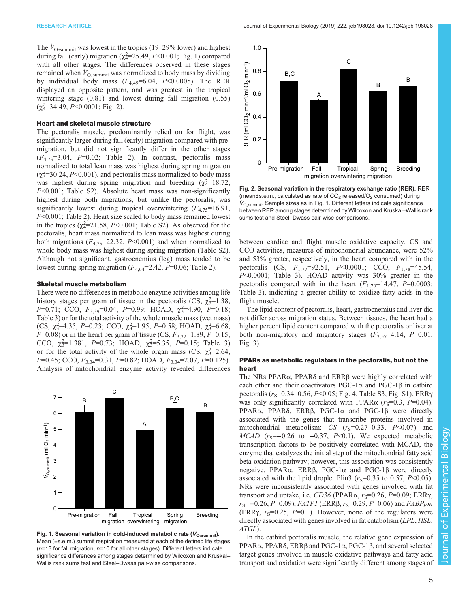The  $\dot{V}_{\text{O}_2\text{summit}}$  was lowest in the tropics (19–29% lower) and highest during fall (early) migration  $(\chi_4^2=25.49, P<0.001;$  Fig. 1) compared with all other stages. The differences observed in these stages remained when  $\dot{V}_{\rm O_2summit}$  was normalized to body mass by dividing by individual body mass  $(F_{4,49} = 6.04, P < 0.0005)$ . The RER displayed an opposite pattern, and was greatest in the tropical wintering stage (0.81) and lowest during fall migration (0.55)  $(\chi^2_4=34.49, P<0.0001;$  Fig. 2).

# Heart and skeletal muscle structure

The pectoralis muscle, predominantly relied on for flight, was significantly larger during fall (early) migration compared with premigration, but did not significantly differ in the other stages  $(F_{4,73}=3.04, P=0.02;$  [Table 2](#page-5-0)). In contrast, pectoralis mass normalized to total lean mass was highest during spring migration  $(\chi_3^2=30.24, P<0.001)$ , and pectoralis mass normalized to body mass was highest during spring migration and breeding  $(\chi^2 = 18.72)$ , P<0.001; [Table S2\)](http://jeb.biologists.org/lookup/doi/10.1242/jeb.198028.supplemental). Absolute heart mass was non-significantly highest during both migrations, but unlike the pectoralis, was significantly lowest during tropical overwintering  $(F_{4,75}=16.91,$ P<0.001; [Table 2\)](#page-5-0). Heart size scaled to body mass remained lowest in the tropics  $(\chi_4^2=21.58, P<0.001;$  [Table S2](http://jeb.biologists.org/lookup/doi/10.1242/jeb.198028.supplemental)). As observed for the pectoralis, heart mass normalized to lean mass was highest during both migrations ( $F_{4,75}$ =22.32,  $P$ <0.001) and when normalized to whole body mass was highest during spring migration ([Table S2\)](http://jeb.biologists.org/lookup/doi/10.1242/jeb.198028.supplemental). Although not significant, gastrocnemius (leg) mass tended to be lowest during spring migration  $(F_{4,64}=2.42, P=0.06;$  [Table 2\)](#page-5-0).

### Skeletal muscle metabolism

There were no differences in metabolic enzyme activities among life history stages per gram of tissue in the pectoralis (CS,  $\chi^2$ =1.38,  $P=0.71$ ; CCO,  $F_{3,39}=0.04$ ,  $P=0.99$ ; HOAD,  $\chi_3^2=4.90$ ,  $P=0.18$ ; [Table 3\)](#page-5-0) or for the total activity of the whole muscle mass (wet mass) (CS,  $\chi_3^2$ =4.35, P=0.23; CCO,  $\chi_3^2$ =1.95, P=0.58; HOAD,  $\chi_3^2$ =6.68,  $P=0.08$ ) or in the heart per gram of tissue (CS,  $F_{3,32}=1.89$ ,  $P=0.15$ ; CCO,  $\chi_3^2=1.381$ ,  $P=0.73$ ; HOAD,  $\chi_3^2=5.35$ ,  $P=0.15$ ; [Table 3\)](#page-5-0) or for the total activity of the whole organ mass (CS,  $\chi^2$  = 2.64,  $P=0.45$ ; CCO,  $F_{3,34}=0.31$ ,  $P=0.82$ ; HOAD,  $F_{3,34}=2.07$ ,  $P=0.125$ ). Analysis of mitochondrial enzyme activity revealed differences



Fig. 1. Seasonal variation in cold-induced metabolic rate ( $\dot{\boldsymbol{V}}_{\text{O}_2 \text{summit}}$ ). Mean (±s.e.m.) summit respiration measured at each of the defined life stages  $(n=13$  for fall migration,  $n=10$  for all other stages). Different letters indicate significance differences among stages determined by Wilcoxon and Kruskal– Wallis rank sums test and Steel–Dwass pair-wise comparisons.



Fig. 2. Seasonal variation in the respiratory exchange ratio (RER). RER (mean±s.e.m., calculated as rate of  $CO<sub>2</sub>$  released/ $O<sub>2</sub>$  consumed) during  $V_{\text{O}_2\text{summit}}$ . Sample sizes as in Fig. 1. Different letters indicate significance between RER among stages determined by Wilcoxon and Kruskal–Wallis rank sums test and Steel–Dwass pair-wise comparisons.

between cardiac and flight muscle oxidative capacity. CS and CCO activities, measures of mitochondrial abundance, were 52% and 53% greater, respectively, in the heart compared with in the pectoralis (CS,  $F_{1,77}$ =92.51, P<0.0001; CCO,  $F_{1,78}$ =45.54, P<0.0001; [Table 3\)](#page-5-0). HOAD activity was 30% greater in the pectoralis compared with in the heart  $(F_{1,70} = 14.47, P = 0.0003;$ [Table 3\)](#page-5-0), indicating a greater ability to oxidize fatty acids in the flight muscle.

The lipid content of pectoralis, heart, gastrocnemius and liver did not differ across migration status. Between tissues, the heart had a higher percent lipid content compared with the pectoralis or liver at both non-migratory and migratory stages  $(F_{3,57}=4.14, P=0.01;$ [Fig. 3](#page-6-0)).

# PPARs as metabolic regulators in the pectoralis, but not the heart

The NRs PPARα, PPARδ and ERRβ were highly correlated with each other and their coactivators PGC-1 $\alpha$  and PGC-1 $\beta$  in catbird pectoralis ( $r_s$ =0.34–0.56, P<0.05; [Fig. 4,](#page-6-0) [Table S3, Fig. S1\)](http://jeb.biologists.org/lookup/doi/10.1242/jeb.198028.supplemental). ERRγ was only significantly correlated with PPAR $\alpha$  ( $r_s$ =0.3, P=0.04). PPARα, PPARδ, ERRβ, PGC-1α and PGC-1β were directly associated with the genes that transcribe proteins involved in mitochondrial metabolism:  $CS$  ( $r_s=0.27-0.33$ ,  $P<0.07$ ) and  $MCAD$  ( $r_S$ =-0.26 to -0.37, P<0.1). We expected metabolic transcription factors to be positively correlated with MCAD, the enzyme that catalyzes the initial step of the mitochondrial fatty acid beta-oxidation pathway; however, this association was consistently negative. PPARα, ERRβ, PGC-1α and PGC-1β were directly associated with the lipid droplet Plin3 ( $r_s$ =0.35 to 0.57, P<0.05). NRs were inconsistently associated with genes involved with fat transport and uptake, i.e. CD36 (PPARα,  $r_s$ =0.26, P=0.09; ERRγ,  $r_S$ =–0.26, P=0.09), FATP1 (ERR $\beta$ ,  $r_S$ =0.29, P=0.06) and FABPpm (ERR $\gamma$ ,  $r_s$ =0.25, P=0.1). However, none of the regulators were directly associated with genes involved in fat catabolism (*LPL*, *HSL*, ATGL).

In the catbird pectoralis muscle, the relative gene expression of PPARα, PPARδ, ERRβ and PGC-1α, PGC-1β, and several selected target genes involved in muscle oxidative pathways and fatty acid transport and oxidation were significantly different among stages of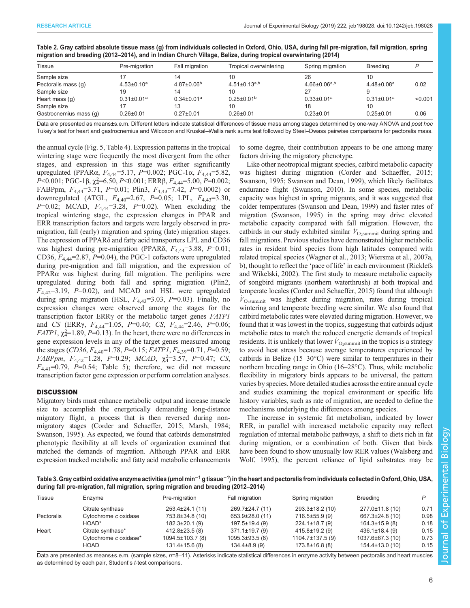<span id="page-5-0"></span>

| Table 2. Gray catbird absolute tissue mass (g) from individuals collected in Oxford, Ohio, USA, during fall pre-migration, fall migration, spring |
|---------------------------------------------------------------------------------------------------------------------------------------------------|
| migration and breeding (2012–2014), and in Indian Church Village, Belize, during tropical overwintering (2014)                                    |

| Tissue                 | Pre-migration                | Fall migration               | Tropical overwintering | Spring migration             | <b>Breeding</b>              |         |
|------------------------|------------------------------|------------------------------|------------------------|------------------------------|------------------------------|---------|
| Sample size            |                              | 14                           |                        | 26                           | 10                           |         |
| Pectoralis mass (q)    | $4.53 \pm 0.10^a$            | $4.87 \pm 0.06^b$            | $4.51 \pm 0.13^{a,b}$  | $4.66 \pm 0.06^{a,b}$        | $4.48 \pm 0.08$ <sup>a</sup> | 0.02    |
| Sample size            | 19                           | 14                           |                        |                              |                              |         |
| Heart mass (g)         | $0.31 \pm 0.01$ <sup>a</sup> | $0.34 \pm 0.01$ <sup>a</sup> | $0.25 \pm 0.01^b$      | $0.33 \pm 0.01$ <sup>a</sup> | $0.31 \pm 0.01$ <sup>a</sup> | < 0.001 |
| Sample size            |                              | 13                           | 10                     | 18                           | 10                           |         |
| Gastrocnemius mass (q) | $0.26 \pm 0.01$              | $0.27 \pm 0.01$              | $0.26 \pm 0.01$        | $0.23 \pm 0.01$              | $0.25 \pm 0.01$              | 0.06    |

Data are presented as means±s.e.m. Different letters indicate statistical differences of tissue mass among stages determined by one-way ANOVA and post hoc Tukey's test for heart and gastrocnemius and Wilcoxon and Kruskal–Wallis rank sums test followed by Steel–Dwass pairwise comparisons for pectoralis mass.

the annual cycle [\(Fig. 5,](#page-7-0) [Table 4\)](#page-8-0). Expression patterns in the tropical wintering stage were frequently the most divergent from the other stages, and expression in this stage was either significantly upregulated (PPARα,  $F_{4,44}$ =5.17, P=0.002; PGC-1α,  $F_{4,44}$ =5.82,  $P \le 0.001$ ; PGC-1 $\beta$ ,  $\chi^2 = 6.50$ ,  $P \le 0.001$ ; ERR $\beta$ ,  $F_{4,44} = 5.00$ ,  $P = 0.002$ ; FABPpm,  $F_{4,44}$ =3.71,  $P=0.01$ ; Plin3,  $F_{4,43}$ =7.42,  $P=0.0002$ ) or downregulated (ATGL,  $F_{4,40}$ =2.67,  $P$ =0.05; LPL,  $F_{4,43}$ =3.30,  $P=0.02$ ; MCAD,  $F_{4,44}=3.28$ ,  $P=0.02$ ). When excluding the tropical wintering stage, the expression changes in PPAR and ERR transcription factors and targets were largely observed in premigration, fall (early) migration and spring (late) migration stages. The expression of PPARδ and fatty acid transporters LPL and CD36 was highest during pre-migration (PPAR $\delta$ ,  $F_{4,44}$ =3.88, P=0.01; CD36,  $F_{4,44}$ =2.87, P=0.04), the PGC-1 cofactors were upregulated during pre-migration and fall migration, and the expression of PPARα was highest during fall migration. The perilipins were upregulated during both fall and spring migration (Plin2,  $F_{4,42}$ =3.19, P=0.02), and MCAD and HSL were upregulated during spring migration (HSL,  $F_{4,43}$ =3.03, P=0.03). Finally, no expression changes were observed among the stages for the transcription factor ERRγ or the metabolic target genes FATP1 and CS (ERR $\gamma$ ,  $F_{4,44}$ =1.05, P=0.40; CS,  $F_{4,44}$ =2.46, P=0.06; *FATP1*,  $\chi^2_4$ =1.89, *P*=0.13). In the heart, there were no differences in gene expression levels in any of the target genes measured among the stages (CD36,  $F_{4,40}$ =1.78, P=0.15; FATP1,  $F_{4,39}$ =0.71, P=0.59;  $FABPpm, F_{4,42}=1.28, P=0.29; MCAD, \chi_{4}^{2}=3.57, P=0.47; CS,$  $F_{4,41}$ =0.79, P=0.54; [Table 5\)](#page-8-0); therefore, we did not measure transcription factor gene expression or perform correlation analyses.

# **DISCUSSION**

Migratory birds must enhance metabolic output and increase muscle size to accomplish the energetically demanding long-distance migratory flight, a process that is then reversed during nonmigratory stages [\(Corder and Schaeffer, 2015;](#page-9-0) [Marsh, 1984](#page-10-0); [Swanson, 1995](#page-10-0)). As expected, we found that catbirds demonstrated phenotypic flexibility at all levels of organization examined that matched the demands of migration. Although PPAR and ERR expression tracked metabolic and fatty acid metabolic enhancements to some degree, their contribution appears to be one among many factors driving the migratory phenotype.

Like other neotropical migrant species, catbird metabolic capacity was highest during migration ([Corder and Schaeffer, 2015](#page-9-0); [Swanson, 1995; Swanson and Dean, 1999](#page-10-0)), which likely facilitates endurance flight [\(Swanson, 2010](#page-10-0)). In some species, metabolic capacity was highest in spring migrants, and it was suggested that colder temperatures ([Swanson and Dean, 1999\)](#page-10-0) and faster rates of migration ([Swanson, 1995\)](#page-10-0) in the spring may drive elevated metabolic capacity compared with fall migration. However, the catbirds in our study exhibited similar  $\dot{V}_{\text{O}_2\text{summit}}$  during spring and fall migrations. Previous studies have demonstrated higher metabolic rates in resident bird species from high latitudes compared with related tropical species [\(Wagner et al., 2013](#page-10-0); [Wiersma et al., 2007a,](#page-10-0) [b\)](#page-10-0), thought to reflect the 'pace of life' in each environment [\(Ricklefs](#page-10-0) [and Wikelski, 2002](#page-10-0)). The first study to measure metabolic capacity of songbird migrants (northern waterthrush) at both tropical and temperate locales ([Corder and Schaeffer, 2015](#page-9-0)) found that although  $V_{\text{O}_2$ summit was highest during migration, rates during tropical wintering and temperate breeding were similar. We also found that catbird metabolic rates were elevated during migration. However, we found that it was lowest in the tropics, suggesting that catbirds adjust metabolic rates to match the reduced energetic demands of tropical residents. It is unlikely that lower  $\dot{V}_{\text{O}_2\text{summit}}$  in the tropics is a strategy to avoid heat stress because average temperatures experienced by catbirds in Belize (15–30°C) were similar to temperatures in their northern breeding range in Ohio (16–28°C). Thus, while metabolic flexibility in migratory birds appears to be universal, the pattern varies by species. More detailed studies across the entire annual cycle and studies examining the tropical environment or specific life history variables, such as rate of migration, are needed to define the mechanisms underlying the differences among species.

The increase in systemic fat metabolism, indicated by lower RER, in parallel with increased metabolic capacity may reflect regulation of internal metabolic pathways, a shift to diets rich in fat during migration, or a combination of both. Given that birds have been found to show unusually low RER values [\(Walsberg and](#page-10-0) [Wolf, 1995](#page-10-0)), the percent reliance of lipid substrates may be

Table 3. Gray catbird oxidative enzyme activities (µmol min<sup>-1</sup> g tissue<sup>-1</sup>) in the heart and pectoralis from individuals collected in Oxford, Ohio, USA during fall pre-migration, fall migration, spring migration and breeding (2012–2014)

| <b>Tissue</b> | Enzyme                               | Pre-migration                               | Fall migration                         | Spring migration                            | Breeding                                  | P            |
|---------------|--------------------------------------|---------------------------------------------|----------------------------------------|---------------------------------------------|-------------------------------------------|--------------|
|               | Citrate synthase                     | $253.4 \pm 24.1(11)$                        | 269.7±24.7 (11)                        | $293.3 \pm 18.2$ (10)                       | 277.0±11.8 (10)                           | 0.71         |
| Pectoralis    | Cytochrome c oxidase                 | 753.8±34.8 (10)                             | 653.9±28.0 (11)                        | $716.5 \pm 55.9(9)$                         | 667.3±24.8 (10)                           | 0.98         |
|               | HOAD*                                | $182.3 \pm 20.1(9)$                         | $197.5 \pm 19.4(9)$                    | $224.1 \pm 18.7(9)$                         | $164.3 \pm 15.9(8)$                       | 0.18         |
| Heart         | Citrate synthase*                    | $412.8 \pm 23.5(8)$                         | $371.1 \pm 19.7(9)$                    | $415.8 \pm 19.2(9)$                         | $436.1 \pm 18.4(9)$                       | 0.15         |
|               | Cytochrome c oxidase*<br><b>HOAD</b> | $1094.5 \pm 103.7$ (8)<br>$131.4\pm15.6(8)$ | $1095.3\pm93.5(8)$<br>$134.4\pm8.9(9)$ | $1104.7\pm137.5(9)$<br>$173.8 \pm 16.8$ (8) | 1037.6±67.3 (10)<br>$154.4 \pm 13.0$ (10) | 0.73<br>0.15 |

Data are presented as means±s.e.m. (sample sizes, n=8–11). Asterisks indicate statistical differences in enzyme activity between pectoralis and heart muscles as determined by each pair, Student's t-test comparisons.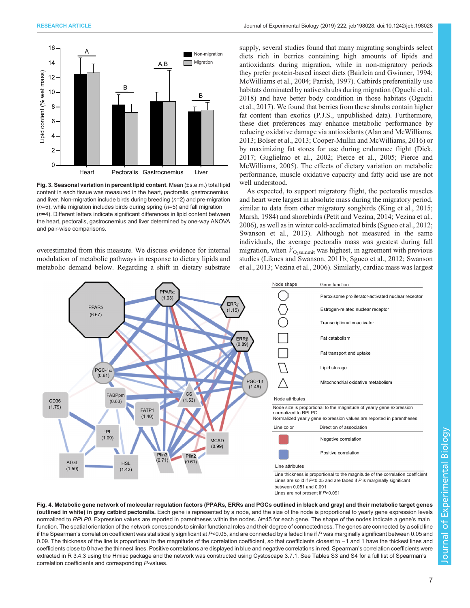<span id="page-6-0"></span>

Fig. 3. Seasonal variation in percent lipid content. Mean (±s.e.m.) total lipid content in each tissue was measured in the heart, pectoralis, gastrocnemius and liver. Non-migration include birds during breeding  $(n=2)$  and pre-migration  $(n=5)$ , while migration includes birds during spring  $(n=5)$  and fall migration (n=4). Different letters indicate significant differences in lipid content between the heart, pectoralis, gastrocnemius and liver determined by one-way ANOVA and pair-wise comparisons.

overestimated from this measure. We discuss evidence for internal modulation of metabolic pathways in response to dietary lipids and metabolic demand below. Regarding a shift in dietary substrate

supply, several studies found that many migrating songbirds select diets rich in berries containing high amounts of lipids and antioxidants during migration, while in non-migratory periods they prefer protein-based insect diets ([Bairlein and Gwinner, 1994](#page-9-0); [McWilliams et al., 2004; Parrish, 1997\)](#page-10-0). Catbirds preferentially use habitats dominated by native shrubs during migration [\(Oguchi et al.,](#page-10-0) [2018\)](#page-10-0) and have better body condition in those habitats [\(Oguchi](#page-10-0) [et al., 2017](#page-10-0)). We found that berries from these shrubs contain higher fat content than exotics (P.J.S., unpublished data). Furthermore, these diet preferences may enhance metabolic performance by reducing oxidative damage via antioxidants [\(Alan and McWilliams,](#page-9-0) [2013; Bolser et al., 2013; Cooper-Mullin and McWilliams, 2016](#page-9-0)) or by maximizing fat stores for use during endurance flight [\(Dick,](#page-9-0) [2017; Guglielmo et al., 2002](#page-9-0); [Pierce et al., 2005](#page-10-0); [Pierce and](#page-10-0) [McWilliams, 2005](#page-10-0)). The effects of dietary variation on metabolic performance, muscle oxidative capacity and fatty acid use are not well understood.

As expected, to support migratory flight, the pectoralis muscles and heart were largest in absolute mass during the migratory period, similar to data from other migratory songbirds ([King et al., 2015](#page-9-0); [Marsh, 1984\)](#page-10-0) and shorebirds [\(Petit and Vezina, 2014](#page-10-0); [Vezina et al.,](#page-10-0) [2006\)](#page-10-0), as well as in winter cold-acclimated birds [\(Sgueo et al., 2012](#page-10-0); [Swanson et al., 2013\)](#page-10-0). Although not measured in the same individuals, the average pectoralis mass was greatest during fall migration, when  $\dot{V}_{\text{O}_2\text{summit}}$  was highest, in agreement with previous studies ([Liknes and Swanson, 2011b;](#page-9-0) [Sgueo et al., 2012; Swanson](#page-10-0) [et al., 2013](#page-10-0); [Vezina et al., 2006\)](#page-10-0). Similarly, cardiac mass was largest



Lines are not present if *P*>0.091

Fig. 4. Metabolic gene network of molecular regulation factors (PPARs, ERRs and PGCs outlined in black and gray) and their metabolic target genes (outlined in white) in gray catbird pectoralis. Each gene is represented by a node, and the size of the node is proportional to yearly gene expression levels normalized to RPLP0. Expression values are reported in parentheses within the nodes. N=45 for each gene. The shape of the nodes indicate a gene's main function. The spatial orientation of the network corresponds to similar functional roles and their degree of connectedness. The genes are connected by a solid line if the Spearman's correlation coefficient was statistically significant at P<0.05, and are connected by a faded line if P was marginally significant between 0.05 and 0.09. The thickness of the line is proportional to the magnitude of the correlation coefficient, so that coefficients closest to −1 and 1 have the thickest lines and coefficients close to 0 have the thinnest lines. Positive correlations are displayed in blue and negative correlations in red. Spearman's correlation coefficients were extracted in R 3.4.3 using the Hmisc package and the network was constructed using Cystoscape 3.7.1. See [Tables S3 and S4](http://jeb.biologists.org/lookup/doi/10.1242/jeb.198028.supplemental) for a full list of Spearman's correlation coefficients and corresponding P-values.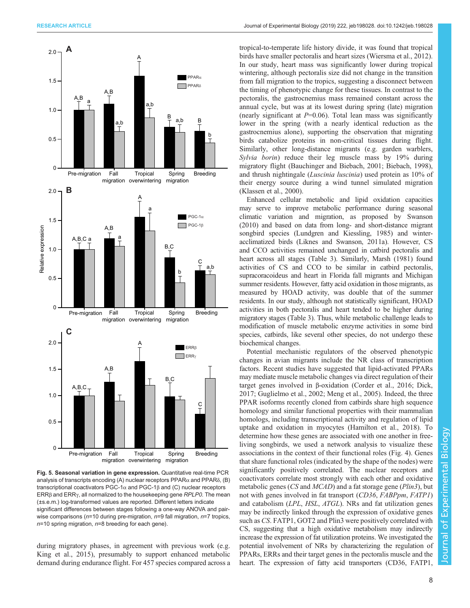<span id="page-7-0"></span>

Fig. 5. Seasonal variation in gene expression. Quantitative real-time PCR analysis of transcripts encoding (A) nuclear receptors  $PPAR\alpha$  and  $PPAR\delta$ , (B) transcriptional coactivators PGC-1α and PGC-1β and (C) nuclear receptors ERRβ and ERRγ, all normalized to the housekeeping gene RPLP0. The mean (±s.e.m.) log-transformed values are reported. Different letters indicate significant differences between stages following a one-way ANOVA and pairwise comparisons ( $n=10$  during pre-migration,  $n=9$  fall migration,  $n=7$  tropics,  $n=10$  spring migration,  $n=8$  breeding for each gene).

during migratory phases, in agreement with previous work (e.g. [King et al., 2015](#page-9-0)), presumably to support enhanced metabolic demand during endurance flight. For 457 species compared across a tropical-to-temperate life history divide, it was found that tropical birds have smaller pectoralis and heart sizes [\(Wiersma et al., 2012\)](#page-10-0). In our study, heart mass was significantly lower during tropical wintering, although pectoralis size did not change in the transition from fall migration to the tropics, suggesting a disconnect between the timing of phenotypic change for these tissues. In contrast to the pectoralis, the gastrocnemius mass remained constant across the annual cycle, but was at its lowest during spring (late) migration (nearly significant at  $P=0.06$ ). Total lean mass was significantly lower in the spring (with a nearly identical reduction as the gastrocnemius alone), supporting the observation that migrating birds catabolize proteins in non-critical tissues during flight. Similarly, other long-distance migrants (e.g. garden warblers, Sylvia borin) reduce their leg muscle mass by 19% during migratory flight ([Bauchinger and Biebach, 2001](#page-9-0); [Biebach, 1998\)](#page-9-0), and thrush nightingale (Luscinia luscinia) used protein as 10% of their energy source during a wind tunnel simulated migration [\(Klassen et al., 2000](#page-9-0)).

Enhanced cellular metabolic and lipid oxidation capacities may serve to improve metabolic performance during seasonal climatic variation and migration, as proposed by [Swanson](#page-10-0) [\(2010\)](#page-10-0) and based on data from long- and short-distance migrant songbird species [\(Lundgren and Kiessling, 1985\)](#page-9-0) and winteracclimatized birds [\(Liknes and Swanson, 2011a](#page-9-0)). However, CS and CCO activities remained unchanged in catbird pectoralis and heart across all stages [\(Table 3\)](#page-5-0). Similarly, [Marsh \(1981\)](#page-10-0) found activities of CS and CCO to be similar in catbird pectoralis, supracoracoideus and heart in Florida fall migrants and Michigan summer residents. However, fatty acid oxidation in those migrants, as measured by HOAD activity, was double that of the summer residents. In our study, although not statistically significant, HOAD activities in both pectoralis and heart tended to be higher during migratory stages ([Table 3\)](#page-5-0). Thus, while metabolic challenge leads to modification of muscle metabolic enzyme activities in some bird species, catbirds, like several other species, do not undergo these biochemical changes.

Potential mechanistic regulators of the observed phenotypic changes in avian migrants include the NR class of transcription factors. Recent studies have suggested that lipid-activated PPARs may mediate muscle metabolic changes via direct regulation of their target genes involved in β-oxidation [\(Corder et al., 2016; Dick,](#page-9-0) [2017; Guglielmo et al., 2002](#page-9-0); [Meng et al., 2005](#page-10-0)). Indeed, the three PPAR isoforms recently cloned from catbirds share high sequence homology and similar functional properties with their mammalian homologs, including transcriptional activity and regulation of lipid uptake and oxidation in myocytes [\(Hamilton et al., 2018](#page-9-0)). To determine how these genes are associated with one another in freeliving songbirds, we used a network analysis to visualize these associations in the context of their functional roles ([Fig. 4](#page-6-0)). Genes that share functional roles (indicated by the shape of the nodes) were significantly positively correlated. The nuclear receptors and coactivators correlate most strongly with each other and oxidative metabolic genes (CS and MCAD) and a fat storage gene (Plin3), but not with genes involved in fat transport (CD36, FABPpm, FATP1) and catabolism (LPL, HSL, ATGL). NRs and fat utilization genes may be indirectly linked through the expression of oxidative genes such as CS. FATP1, GOT2 and Plin3 were positively correlated with CS, suggesting that a high oxidative metabolism may indirectly increase the expression of fat utilization proteins. We investigated the potential involvement of NRs by characterizing the regulation of PPARs, ERRs and their target genes in the pectoralis muscle and the heart. The expression of fatty acid transporters (CD36, FATP1,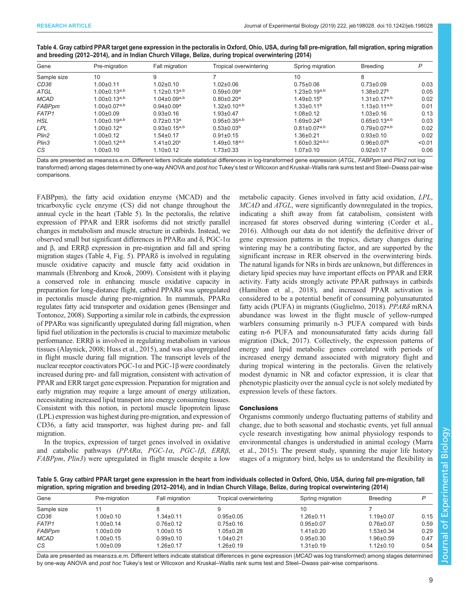<span id="page-8-0"></span>

| Table 4. Gray catbird PPAR target gene expression in the pectoralis in Oxford, Ohio, USA, during fall pre-migration, fall migration, spring migration |  |
|-------------------------------------------------------------------------------------------------------------------------------------------------------|--|
| and breeding (2012-2014), and in Indian Church Village, Belize, during tropical overwintering (2014)                                                  |  |

| Gene              | Pre-migration                  | Fall migration               | Tropical overwintering         | Spring migration                 | <b>Breeding</b>                | P      |
|-------------------|--------------------------------|------------------------------|--------------------------------|----------------------------------|--------------------------------|--------|
| Sample size       | 10                             | 9                            |                                | 10                               | 8                              |        |
| CD <sub>36</sub>  | $1.00 + 0.11$                  | $1.02 \pm 0.10$              | $1.02 \pm 0.06$                | $0.75 \pm 0.06$                  | $0.73 \pm 0.09$                | 0.03   |
| <b>ATGL</b>       | $1.00 \pm 0.13^{a,b}$          | $1.12 \pm 0.13^{a,b}$        | $0.59 \pm 0.09^a$              | $1.23 \pm 0.19^{a,b}$            | $1.38 \pm 0.27$ <sup>b</sup>   | 0.05   |
| <b>MCAD</b>       | $1.00 \pm 0.13$ <sup>a,b</sup> | $1.04 \pm 0.09^{a,b}$        | $0.80 \pm 0.20$ <sup>a</sup>   | $1.49 \pm 0.15^{\rm b}$          | $1.31 \pm 0.17$ <sup>a,b</sup> | 0.02   |
| FABPpm            | $1.00 \pm 0.07$ <sup>a,b</sup> | $0.94 \pm 0.09$ <sup>a</sup> | $1.32 \pm 0.10^{a,b}$          | $1.33 \pm 0.11$ <sup>b</sup>     | $1.13 \pm 0.11^{a,b}$          | 0.01   |
| FATP <sub>1</sub> | $1.00 \pm 0.09$                | $0.93 + 0.16$                | $1.93 \pm 0.47$                | $1.08 + 0.12$                    | $1.03 \pm 0.16$                | 0.13   |
| <b>HSL</b>        | $1.00 \pm 0.19$ <sup>a,b</sup> | $0.72 \pm 0.13$ <sup>a</sup> | $0.95 \pm 0.35$ <sup>a,b</sup> | $1.69 \pm 0.24^b$                | $0.65 \pm 0.13^{a,b}$          | 0.03   |
| <b>LPL</b>        | $1.00 \pm 0.12$ <sup>a</sup>   | $0.93 \pm 0.15^{a,b}$        | $0.53 \pm 0.03^b$              | $0.81 \pm 0.07$ <sup>a,b</sup>   | $0.79 \pm 0.07$ <sup>a,b</sup> | 0.02   |
| Plin2             | $1.00 \pm 0.12$                | $1.54 \pm 0.17$              | $0.91 \pm 0.15$                | $1.36 \pm 0.21$                  | $0.93 \pm 0.10$                | 0.02   |
| Plin3             | $1.00 \pm 0.12$ <sup>a,b</sup> | $1.41 \pm 0.20$ <sup>c</sup> | $1.49 \pm 0.18$ <sup>a,c</sup> | $1.60 \pm 0.32$ <sup>a,b,c</sup> | $0.96 \pm 0.07$ <sup>b</sup>   | < 0.01 |
| CS                | $1.00 \pm 0.10$                | $1.10+0.12$                  | $1.73 \pm 0.33$                | $1.07 + 0.10$                    | $0.92 \pm 0.17$                | 0.06   |

Data are presented as means±s.e.m. Different letters indicate statistical differences in log-transformed gene expression (ATGL, FABPpm and Plin2 not log transformed) among stages determined by one-way ANOVA and post hoc Tukey's test or Wilcoxon and Kruskal–Wallis rank sums test and Steel–Dwass pair-wise comparisons.

FABPpm), the fatty acid oxidation enzyme (MCAD) and the tricarboxylic cycle enzyme (CS) did not change throughout the annual cycle in the heart (Table 5). In the pectoralis, the relative expression of PPAR and ERR isoforms did not strictly parallel changes in metabolism and muscle structure in catbirds. Instead, we observed small but significant differences in PPARα and δ, PGC-1 $α$ and β, and ERRβ expression in pre-migration and fall and spring migration stages (Table 4, [Fig. 5](#page-7-0)). PPARδ is involved in regulating muscle oxidative capacity and muscle fatty acid oxidation in mammals ([Ehrenborg and Krook, 2009](#page-9-0)). Consistent with it playing a conserved role in enhancing muscle oxidative capacity in preparation for long-distance flight, catbird PPARδ was upregulated in pectoralis muscle during pre-migration. In mammals, PPARα regulates fatty acid transporter and oxidation genes [\(Bensinger and](#page-9-0) [Tontonoz, 2008](#page-9-0)). Supporting a similar role in catbirds, the expression of PPARα was significantly upregulated during fall migration, when lipid fuel utilization in the pectoralis is crucial to maximize metabolic performance. ERRβ is involved in regulating metabolism in various tissues ([Alaynick, 2008](#page-9-0); [Huss et al., 2015](#page-9-0)), and was also upregulated in flight muscle during fall migration. The transcript levels of the nuclear receptor coactivators  $PGC-1\alpha$  and  $PGC-1\beta$  were coordinately increased during pre- and fall migration, consistent with activation of PPAR and ERR target gene expression. Preparation for migration and early migration may require a large amount of energy utilization, necessitating increased lipid transport into energy consuming tissues. Consistent with this notion, in pectoral muscle lipoprotein lipase (LPL) expression was highest during pre-migration, and expression of CD36, a fatty acid transporter, was highest during pre- and fall migration.

In the tropics, expression of target genes involved in oxidative and catabolic pathways (PPARα, PGC-1α, PGC-1β, ERRβ, FABPpm, Plin3) were upregulated in flight muscle despite a low metabolic capacity. Genes involved in fatty acid oxidation, LPL, MCAD and ATGL, were significantly downregulated in the tropics, indicating a shift away from fat catabolism, consistent with increased fat stores observed during wintering ([Corder et al.,](#page-9-0) [2016\)](#page-9-0). Although our data do not identify the definitive driver of gene expression patterns in the tropics, dietary changes during wintering may be a contributing factor, and are supported by the significant increase in RER observed in the overwintering birds. The natural ligands for NRs in birds are unknown, but differences in dietary lipid species may have important effects on PPAR and ERR activity. Fatty acids strongly activate PPAR pathways in catbirds [\(Hamilton et al., 2018\)](#page-9-0), and increased PPAR activation is considered to be a potential benefit of consuming polyunsaturated fatty acids (PUFA) in migrants [\(Guglielmo, 2018\)](#page-9-0). PPARδ mRNA abundance was lowest in the flight muscle of yellow-rumped warblers consuming primarily n-3 PUFA compared with birds eating n-6 PUFA and monounsaturated fatty acids during fall migration ([Dick, 2017\)](#page-9-0). Collectively, the expression patterns of energy and lipid metabolic genes correlated with periods of increased energy demand associated with migratory flight and during tropical wintering in the pectoralis. Given the relatively modest dynamic in NR and cofactor expression, it is clear that phenotypic plasticity over the annual cycle is not solely mediated by expression levels of these factors.

# **Conclusions**

Organisms commonly undergo fluctuating patterns of stability and change, due to both seasonal and stochastic events, yet full annual cycle research investigating how animal physiology responds to environmental changes is understudied in animal ecology [\(Marra](#page-9-0) [et al., 2015](#page-9-0)). The present study, spanning the major life history stages of a migratory bird, helps us to understand the flexibility in

Table 5. Gray catbird PPAR target gene expression in the heart from individuals collected in Oxford, Ohio, USA, during fall pre-migration, fall migration, spring migration and breeding (2012–2014), and in Indian Church Village, Belize, during tropical overwintering (2014)

| Gene              | Pre-migration   | Fall migration  | Tropical overwintering | Spring migration | <b>Breeding</b> |      |
|-------------------|-----------------|-----------------|------------------------|------------------|-----------------|------|
| Sample size       |                 |                 |                        | 10               |                 |      |
| CD <sub>36</sub>  | $1.00 \pm 0.10$ | $1.34 \pm 0.11$ | $0.95 \pm 0.05$        | $1.26 \pm 0.11$  | $1.19 \pm 0.07$ | 0.15 |
| FATP <sub>1</sub> | $1.00 \pm 0.14$ | $0.76 \pm 0.12$ | $0.75 \pm 0.16$        | $0.95 \pm 0.07$  | $0.76 \pm 0.07$ | 0.59 |
| <b>FABPpm</b>     | $1.00 \pm 0.09$ | $1.00 \pm 0.15$ | $1.05 \pm 0.28$        | $1.41 \pm 0.20$  | $1.53 \pm 0.34$ | 0.29 |
| <b>MCAD</b>       | $1.00 \pm 0.15$ | $0.99 \pm 0.10$ | $1.04 \pm 0.21$        | $0.95 \pm 0.30$  | 1.96±0.59       | 0.47 |
| CS.               | $1.00 \pm 0.09$ | $1.26 \pm 0.17$ | 1.26±0.19              | $1.31 \pm 0.19$  | $1.12 \pm 0.10$ | 0.54 |

Data are presented as means±s.e.m. Different letters indicate statistical differences in gene expression (MCAD was log transformed) among stages determined by one-way ANOVA and post hoc Tukey's test or Wilcoxon and Kruskal–Wallis rank sums test and Steel–Dwass pair-wise comparisons.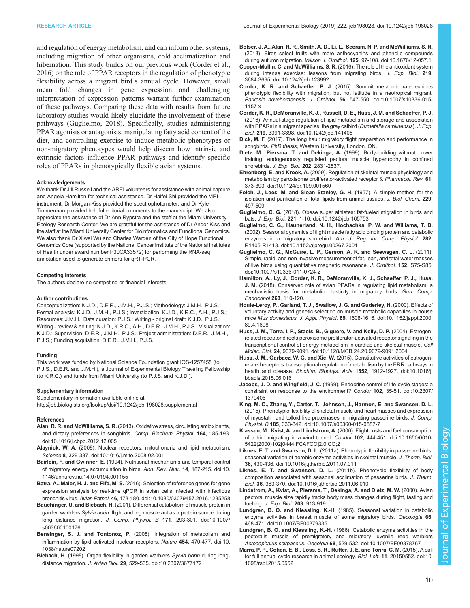<span id="page-9-0"></span>and regulation of energy metabolism, and can inform other systems, including migration of other organisms, cold acclimatization and hibernation. This study builds on our previous work (Corder et al., 2016) on the role of PPAR receptors in the regulation of phenotypic flexibility across a migrant bird's annual cycle. However, small mean fold changes in gene expression and challenging interpretation of expression patterns warrant further examination of these pathways. Comparing these data with results from future laboratory studies would likely elucidate the involvement of these pathways (Guglielmo, 2018). Specifically, studies administering PPAR agonists or antagonists, manipulating fatty acid content of the diet, and controlling exercise to induce metabolic phenotypes or non-migratory phenotypes would help discern how intrinsic and extrinsic factors influence PPAR pathways and identify specific roles of PPARs in phenotypically flexible avian systems.

## Acknowledgements

We thank Dr Jill Russell and the AREI volunteers for assistance with animal capture and Angela Hamilton for technical assistance. Dr Haifei Shi provided the MRI instrument, Dr Morgan-Kiss provided the spectrophotometer, and Dr Kyle Timmerman provided helpful editorial comments to the manuscript. We also appreciate the assistance of Dr Ann Rypstra and the staff at the Miami University Ecology Research Center. We are grateful for the assistance of Dr Andor Kiss and the staff at the Miami University Center for Bioinformatics and Functional Genomics. We also thank Dr Xiwei Wu and Charles Warden of the City of Hope Functional Genomics Core (supported by the National Cancer Institute of the National Institutes of Health under award number P30CA33572) for performing the RNA-seq annotation used to generate primers for qRT-PCR.

### Competing interests

The authors declare no competing or financial interests.

### Author contributions

Conceptualization: K.J.D., D.E.R., J.M.H., P.J.S.; Methodology: J.M.H., P.J.S.; Formal analysis: K.J.D., J.M.H., P.J.S.; Investigation: K.J.D., K.R.C., A.H., P.J.S.; Resources: J.M.H.; Data curation: P.J.S.; Writing - original draft: K.J.D., P.J.S.; Writing - review & editing: K.J.D., K.R.C., A.H., D.E.R., J.M.H., P.J.S.; Visualization: K.J.D.; Supervision: D.E.R., J.M.H., P.J.S.; Project administration: D.E.R., J.M.H., P.J.S.; Funding acquisition: D.E.R., J.M.H., P.J.S.

#### Funding

This work was funded by National Science Foundation grant IOS-1257455 (to P.J.S., D.E.R. and J.M.H.), a Journal of Experimental Biology Traveling Fellowship (to K.R.C.) and funds from Miami University (to P.J.S. and K.J.D.).

## Supplementary information

Supplementary information available online at <http://jeb.biologists.org/lookup/doi/10.1242/jeb.198028.supplemental>

#### References

- Alan, R. R. and McWilliams, S. R. [\(2013\). Oxidative stress, circulating antioxidants,](https://doi.org/10.1016/j.cbpb.2012.12.005) [and dietary preferences in songbirds.](https://doi.org/10.1016/j.cbpb.2012.12.005) Comp. Biochem. Physiol. 164, 185-193. [doi:10.1016/j.cbpb.2012.12.005](https://doi.org/10.1016/j.cbpb.2012.12.005)
- Alaynick, W. A. [\(2008\). Nuclear receptors, mitochondria and lipid metabolism.](https://doi.org/10.1016/j.mito.2008.02.001) Science 8[, 329-337. doi:10.1016/j.mito.2008.02.001](https://doi.org/10.1016/j.mito.2008.02.001)
- Bairlein, F. and Gwinner, E. [\(1994\). Nutritional mechanisms and temporal control](https://doi.org/10.1146/annurev.nu.14.070194.001155) [of migratory energy accumulation in birds.](https://doi.org/10.1146/annurev.nu.14.070194.001155) Ann. Rev. Nutr. 14, 187-215. doi:10. [1146/annurev.nu.14.070194.001155](https://doi.org/10.1146/annurev.nu.14.070194.001155)
- Batra, A., Maier, H. J. and Fife, M. S. [\(2016\). Selection of reference genes for gene](https://doi.org/10.1080/03079457.2016.1235258) [expression analysis by real-time qPCR in avian cells infected with infectious](https://doi.org/10.1080/03079457.2016.1235258) bronchitis virus. Avian Pathol. 46[, 173-180. doi:10.1080/03079457.2016.1235258](https://doi.org/10.1080/03079457.2016.1235258)
- Bauchinger, U. and Biebach, H. [\(2001\). Differential catabolism of muscle protein in](https://doi.org/10.1007/s003600100176) garden warblers Sylvia borin[: flight and leg muscle act as a protein source during](https://doi.org/10.1007/s003600100176) [long distance migration.](https://doi.org/10.1007/s003600100176) J. Comp. Physiol. B 171, 293-301. doi:10.1007/ [s003600100176](https://doi.org/10.1007/s003600100176)
- Bensinger, S. J. and Tontonoz, P. [\(2008\). Integration of metabolism and](https://doi.org/10.1038/nature07202) [inflammation by lipid activated nuclear receptors.](https://doi.org/10.1038/nature07202) Nature 454, 470-477. doi:10. [1038/nature07202](https://doi.org/10.1038/nature07202)
- Biebach, H. [\(1998\). Organ flexibility in garden warblers](https://doi.org/10.2307/3677172) Sylvia borin during longdistance migration. J. Avian Biol. 29[, 529-535. doi:10.2307/3677172](https://doi.org/10.2307/3677172)
- [Bolser, J. A., Alan, R. R., Smith, A. D., Li, L., Seeram, N. P. and McWilliams, S. R.](https://doi.org/10.1676/12-057.1) [\(2013\). Birds select fruits with more anthocyanins and phenolic compounds](https://doi.org/10.1676/12-057.1) during autumn migration. Wilson J. Ornithol. 125[, 97-108. doi:10.1676/12-057.1](https://doi.org/10.1676/12-057.1)
- [Cooper-Mullin, C. and McWilliams, S. R.](https://doi.org/10.1242/jeb.123992) (2016). The role of the antioxidant system [during intense exercise: lessons from migrating birds.](https://doi.org/10.1242/jeb.123992) J. Exp. Biol. 219, [3684-3695. doi:10.1242/jeb.123992](https://doi.org/10.1242/jeb.123992)
- Corder, K. R. and Schaeffer, P. J. [\(2015\). Summit metabolic rate exhibits](https://doi.org/10.1007/s10336-015-1157-x) [phenotypic flexibility with migration, but not latitude in a neotropical migrant,](https://doi.org/10.1007/s10336-015-1157-x) [Parkesia noveboracensis. J. Ornithol.](https://doi.org/10.1007/s10336-015-1157-x) 56, 547-550. doi:10.1007/s10336-015- [1157-x](https://doi.org/10.1007/s10336-015-1157-x)
- [Corder, K. R., DeMoranville, K. J., Russell, D. E., Huss, J. M. and Schaeffer, P. J.](https://doi.org/10.1242/jeb.141408) [\(2016\). Annual-stage regulation of lipid metabolism and storage and association](https://doi.org/10.1242/jeb.141408) [with PPARs in a migrant species: the gray catbird \(](https://doi.org/10.1242/jeb.141408)Dumetella carolinensis). J. Exp. Biol. 219[, 3391-3398. doi:10.1242/jeb.141408](https://doi.org/10.1242/jeb.141408)
- Dick, M. F. (2017). The long haul: migratory flight preparation and performance in songbirds. PhD thesis, Western University, London, ON.
- Dietz, M., Piersma, T. and Dekinga, A. (1999). Body-building without power training: endogenously regulated pectoral muscle hypertrophy in confined shorebirds. J. Exp. Biol. 202, 2831-2837.
- Ehrenborg, E. and Krook, A. [\(2009\). Regulation of skeletal muscle physiology and](https://doi.org/10.1124/pr.109.001560) [metabolism by peroxisome proliferator-activated receptor](https://doi.org/10.1124/pr.109.001560) δ. Pharmacol. Rev. 61, [373-393. doi:10.1124/pr.109.001560](https://doi.org/10.1124/pr.109.001560)
- Folch, J., Lees, M. and Sloan Stanley, G. H. (1957). A simple method for the isolation and purification of total lipids from animal tissues. J. Biol. Chem. 229, 497-509.
- Guglielmo, C. G. [\(2018\). Obese super athletes: fat-fueled migration in birds and](https://doi.org/10.1242/jeb.165753) bats. J. Exp. Biol. 221[, 1-16. doi:10.1242/jeb.165753](https://doi.org/10.1242/jeb.165753)
- [Guglielmo, C. G., Haunerland, N. H., Hochachka, P. W. and Williams, T. D.](https://doi.org/10.1152/ajpregu.00267.2001) [\(2002\). Seasonal dynamics of flight muscle fatty acid binding protein and catabolic](https://doi.org/10.1152/ajpregu.00267.2001) [enzymes in a migratory shorebird.](https://doi.org/10.1152/ajpregu.00267.2001) Am. J. Reg. Int. Comp. Physiol. 282, [R1405-R1413. doi:10.1152/ajpregu.00267.2001](https://doi.org/10.1152/ajpregu.00267.2001)
- [Guglielmo, C. G., McGuire, L. P., Gerson, A. R. and Seewagen, C. L.](https://doi.org/10.1007/s10336-011-0724-z) (2011). [Simple, rapid, and non-invasive measurement of fat, lean, and total water masses](https://doi.org/10.1007/s10336-011-0724-z) [of live birds using quantitative magnetic resonance.](https://doi.org/10.1007/s10336-011-0724-z) J. Ornithol. 152, S75-S85. [doi:10.1007/s10336-011-0724-z](https://doi.org/10.1007/s10336-011-0724-z)
- Hamilton, A., Ly, J., Corder, K. R., DeMoranville, K. J., Schaeffer, P. J., Huss, J. M. (2018). Conserved role of avian PPARs in regulating lipid metabolism: a mechanistic basis for metabolic plasticity in migratory birds. Gen. Comp. Endocrinol 268, 110-120.
- [Houle-Leroy, P., Garland, T. J., Swallow, J. G. and Guderley, H.](https://doi.org/10.1152/jappl.2000.89.4.1608) (2000). Effects of [voluntary activity and genetic selection on muscle metabolic capacities in house](https://doi.org/10.1152/jappl.2000.89.4.1608) mice Mus domesticus. J. Appl. Physiol. 89[, 1608-1616. doi:10.1152/jappl.2000.](https://doi.org/10.1152/jappl.2000.89.4.1608) [89.4.1608](https://doi.org/10.1152/jappl.2000.89.4.1608)
- [Huss, J. M., Torra, I. P., Staels, B., Giguere, V. and Kelly, D. P.](https://doi.org/10.1128/MCB.24.20.9079-9091.2004) (2004). Estrogen[related receptor directs peroxisome proliferator-activated receptor signaling in the](https://doi.org/10.1128/MCB.24.20.9079-9091.2004) [transcriptional control of energy metabolism in cardiac and skeletal muscle.](https://doi.org/10.1128/MCB.24.20.9079-9091.2004) Cell Molec. Biol. 24[, 9079-9091. doi:10.1128/MCB.24.20.9079-9091.2004](https://doi.org/10.1128/MCB.24.20.9079-9091.2004)
- Huss, J. M., Garbacz, W. G. and Xie, W. [\(2015\). Constitutive activities of estrogen](https://doi.org/10.1016/j.bbadis.2015.06.016)[related receptors: transcriptional regulation of metabolism by the ERR pathways in](https://doi.org/10.1016/j.bbadis.2015.06.016) health and disease. Biochim. Biophys. Acta 1852[, 1912-1927. doi:10.1016/j.](https://doi.org/10.1016/j.bbadis.2015.06.016) [bbadis.2015.06.016](https://doi.org/10.1016/j.bbadis.2015.06.016)
- Jacobs, J. D. and Wingfield, J. C. [\(1999\). Endocrine control of life-cycle stages: a](https://doi.org/10.2307/1370406) [constraint on response to the environment?](https://doi.org/10.2307/1370406) Condor 102, 35-51. doi:10.2307/ [1370406](https://doi.org/10.2307/1370406)
- [King, M. O., Zhang, Y., Carter, T., Johnson, J., Harmon, E. and Swanson, D. L.](https://doi.org/10.1007/s00360-015-0887-7) [\(2015\). Phenotypic flexibility of skeletal muscle and heart masses and expression](https://doi.org/10.1007/s00360-015-0887-7) [of myostatin and tolloid like proteinases in migrating passerine birds.](https://doi.org/10.1007/s00360-015-0887-7) J. Comp. Physiol. B 185[, 333-342. doi:10.1007/s00360-015-0887-7](https://doi.org/10.1007/s00360-015-0887-7)
- [Klassen, M., Kvist, A. and Lindstrom, A.](https://doi.org/10.1650/0010-5422(2000)102[0444:FCAFCO]2.0.CO;2) (2000). Flight costs and fuel consumption [of a bird migrating in a wind tunnel.](https://doi.org/10.1650/0010-5422(2000)102[0444:FCAFCO]2.0.CO;2) Condor 102, 444-451. doi:10.1650/0010- [5422\(2000\)102\[0444:FCAFCO\]2.0.CO;2](https://doi.org/10.1650/0010-5422(2000)102[0444:FCAFCO]2.0.CO;2)
- Liknes, E. T. and Swanson, D. L. [\(2011a\). Phenotypic flexibility in passerine birds:](https://doi.org/10.1016/j.jtherbio.2011.07.011) [seasonal variation of aerobic enzyme activities in skeletal muscle.](https://doi.org/10.1016/j.jtherbio.2011.07.011) J. Therm. Biol. 36[, 430-436. doi:10.1016/j.jtherbio.2011.07.011](https://doi.org/10.1016/j.jtherbio.2011.07.011)
- Liknes, E. T. and Swanson, D. L. [\(2011b\). Phenotypic flexibility of body](https://doi.org/10.1016/j.jtherbio.2011.06.010) [composition associated with seasonal acclimation of passerine birds.](https://doi.org/10.1016/j.jtherbio.2011.06.010) J. Therm. Biol. 36[, 363-370. doi:10.1016/j.jtherbio.2011.06.010](https://doi.org/10.1016/j.jtherbio.2011.06.010)
- Lindstrom, A., Kvist, A., Piersma, T., Dekinga, A. and Dietz, M. W. (2000). Avian pectoral muscle size rapidly tracks body mass changes during flight, fasting and fuelling. J. Exp. Biol. 203, 913-919.
- [Lundgren, B. O. and Kiessling, K.-H.](https://doi.org/10.1007/BF00379335) (1985). Seasonal variation in catabolic [enzyme activities in breast muscle of some migratory birds.](https://doi.org/10.1007/BF00379335) Oecologia 66, [468-471. doi:10.1007/BF00379335](https://doi.org/10.1007/BF00379335)
- Lundgren, B. O. and Kiessling, K.-H. [\(1986\). Catabolic enzyme activities in the](https://doi.org/10.1007/BF00378767) [pectoralis muscle of premigratory and migratory juvenile reed warblers](https://doi.org/10.1007/BF00378767) Acrocephalus scirpaceus. Oecolgia 68[, 529-532. doi:10.1007/BF00378767](https://doi.org/10.1007/BF00378767)
- [Marra, P. P., Cohen, E. B., Loss, S. R., Rutter, J. E. and Tonra, C. M.](https://doi.org/10.1098/rsbl.2015.0552) (2015). A call [for full annual cycle research in animal ecology.](https://doi.org/10.1098/rsbl.2015.0552) Biol. Lett. 11, 20150552. doi:10. [1098/rsbl.2015.0552](https://doi.org/10.1098/rsbl.2015.0552)